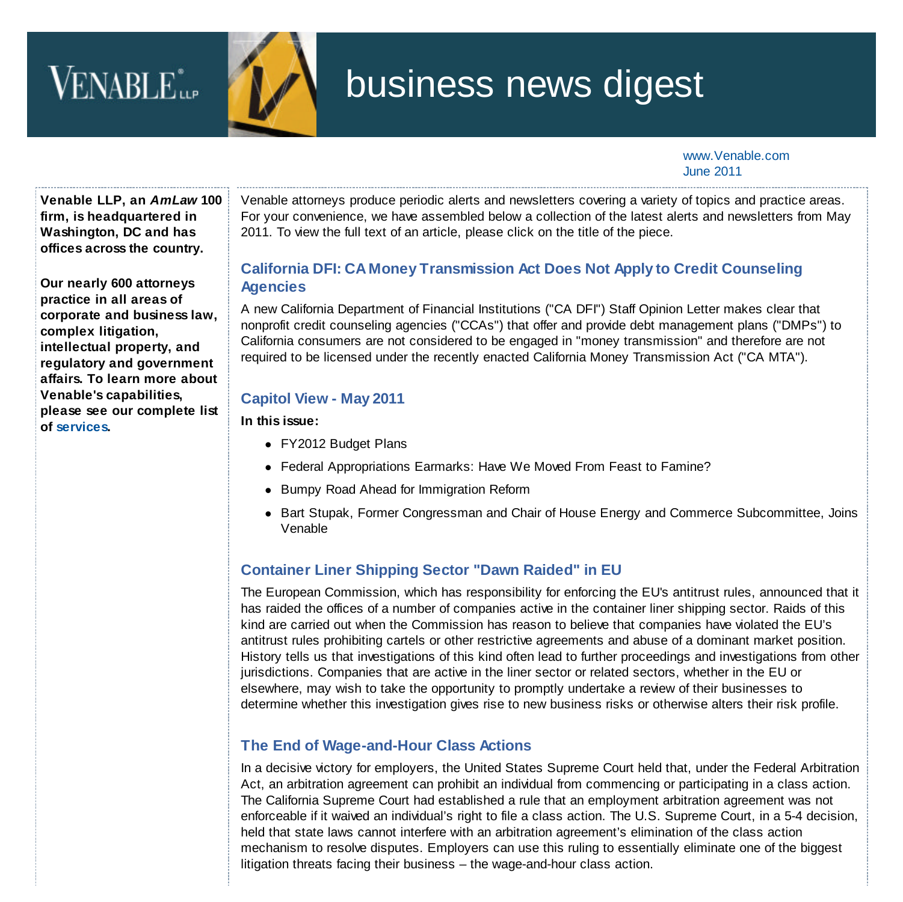# VENABLE<sup>\*</sup>



## business news digest

www.Venable.com June 2011

**Venable LLP, an** *AmLaw* **100 firm, is headquartered in Washington, DC and has offices across the country.**

**Our nearly 600 attorneys practice in all areas of corporate and business law, complex litigation, intellectual property, and regulatory and government affairs. To learn more about Venable's capabilities, please see our complete list of [services.](http://www.venable.com/services/)**

Venable attorneys produce periodic alerts and newsletters covering a variety of topics and practice areas. For your convenience, we have assembled below a collection of the latest alerts and newsletters from May 2011. To view the full text of an article, please click on the title of the piece.

## **[California DFI: CA Money Transmission Act Does Not Apply to Credit Counseling](http://www.venable.com/california-dfi-ca-money-transmission-act-does-not-apply-to-credit-counseling-agencies-05-10-2011/) Agencies**

A new California Department of Financial Institutions ("CA DFI") Staff Opinion Letter makes clear that nonprofit credit counseling agencies ("CCAs") that offer and provide debt management plans ("DMPs") to California consumers are not considered to be engaged in "money transmission" and therefore are not required to be licensed under the recently enacted California Money Transmission Act ("CA MTA").

#### **[Capitol View - May 2011](http://www.venable.com/files/Publication/18643b13-90de-4101-b79d-23453b4b8cd6/Presentation/PublicationAttachment/178ac8d5-d919-418b-ac3c-2dfb2fcd47ac/Capitol_View--May-2011.pdf)**

**In this issue:**

- FY2012 Budget Plans
- Federal Appropriations Earmarks: Have We Moved From Feast to Famine?
- Bumpy Road Ahead for Immigration Reform
- Bart Stupak, Former Congressman and Chair of House Energy and Commerce Subcommittee, Joins Venable

## **[Container Liner Shipping Sector "Dawn Raided" in EU](http://www.venable.com/container-liner-shipping-sector-dawn-raided-in-eu-05-18-2011/)**

The European Commission, which has responsibility for enforcing the EU's antitrust rules, announced that it has raided the offices of a number of companies active in the container liner shipping sector. Raids of this kind are carried out when the Commission has reason to believe that companies have violated the EU's antitrust rules prohibiting cartels or other restrictive agreements and abuse of a dominant market position. History tells us that investigations of this kind often lead to further proceedings and investigations from other jurisdictions. Companies that are active in the liner sector or related sectors, whether in the EU or elsewhere, may wish to take the opportunity to promptly undertake a review of their businesses to determine whether this investigation gives rise to new business risks or otherwise alters their risk profile.

### **[The End of Wage-and-Hour Class Actions](http://www.venable.com/The-End-of-Wage-and-Hour-Class-Actions-05-02-2011)**

In a decisive victory for employers, the United States Supreme Court held that, under the Federal Arbitration Act, an arbitration agreement can prohibit an individual from commencing or participating in a class action. The California Supreme Court had established a rule that an employment arbitration agreement was not enforceable if it waived an individual's right to file a class action. The U.S. Supreme Court, in a 5-4 decision, held that state laws cannot interfere with an arbitration agreement's elimination of the class action mechanism to resolve disputes. Employers can use this ruling to essentially eliminate one of the biggest litigation threats facing their business – the wage-and-hour class action.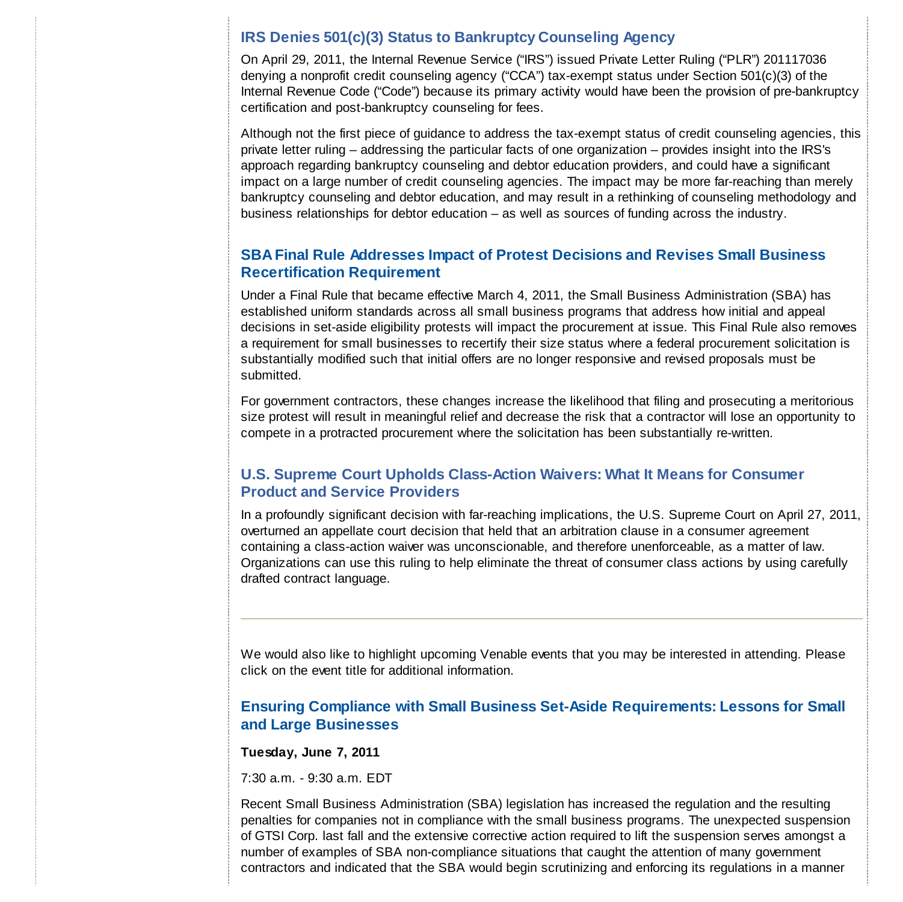#### **[IRS Denies 501\(c\)\(3\) Status to Bankruptcy Counseling Agency](http://www.venable.com/irs-denies-501c3-status-to-bankruptcy-counseling-agency/)**

On April 29, 2011, the Internal Revenue Service ("IRS") issued Private Letter Ruling ("PLR") 201117036 denying a nonprofit credit counseling agency ("CCA") tax-exempt status under Section 501(c)(3) of the Internal Revenue Code ("Code") because its primary activity would have been the provision of pre-bankruptcy certification and post-bankruptcy counseling for fees.

Although not the first piece of guidance to address the tax-exempt status of credit counseling agencies, this private letter ruling – addressing the particular facts of one organization – provides insight into the IRS's approach regarding bankruptcy counseling and debtor education providers, and could have a significant impact on a large number of credit counseling agencies. The impact may be more far-reaching than merely bankruptcy counseling and debtor education, and may result in a rethinking of counseling methodology and business relationships for debtor education – as well as sources of funding across the industry.

#### **[SBA Final Rule Addresses Impact of Protest Decisions and Revises Small Business](http://www.venable.com/sba-final-rule-addresses-impact-of-protest-decisions-and-revises-small-business-recertification-requirement-05-31-2011/) Recertification Requirement**

Under a Final Rule that became effective March 4, 2011, the Small Business Administration (SBA) has established uniform standards across all small business programs that address how initial and appeal decisions in set-aside eligibility protests will impact the procurement at issue. This Final Rule also removes a requirement for small businesses to recertify their size status where a federal procurement solicitation is substantially modified such that initial offers are no longer responsive and revised proposals must be submitted.

For government contractors, these changes increase the likelihood that filing and prosecuting a meritorious size protest will result in meaningful relief and decrease the risk that a contractor will lose an opportunity to compete in a protracted procurement where the solicitation has been substantially re-written.

#### **[U.S. Supreme Court Upholds Class-Action Waivers: What It Means for Consumer](http://www.venable.com/us-supreme-court-upholds-class-action-waivers--what-it-means-for-consumer-product-and-service-providers-05-05-2011/) Product and Service Providers**

In a profoundly significant decision with far-reaching implications, the U.S. Supreme Court on April 27, 2011, overturned an appellate court decision that held that an arbitration clause in a consumer agreement containing a class-action waiver was unconscionable, and therefore unenforceable, as a matter of law. Organizations can use this ruling to help eliminate the threat of consumer class actions by using carefully drafted contract language.

We would also like to highlight upcoming Venable events that you may be interested in attending. Please click on the event title for additional information.

#### **[Ensuring Compliance with Small Business Set-Aside Requirements: Lessons for Small](http://www.venable.com/ensuring-compliance-with-small-business-set-aside-requirements-lessons-for-small-and-large-businesses-for-sch-group-06-07-2011/) and Large Businesses**

**Tuesday, June 7, 2011**

7:30 a.m. - 9:30 a.m. EDT

Recent Small Business Administration (SBA) legislation has increased the regulation and the resulting penalties for companies not in compliance with the small business programs. The unexpected suspension of GTSI Corp. last fall and the extensive corrective action required to lift the suspension serves amongst a number of examples of SBA non-compliance situations that caught the attention of many government contractors and indicated that the SBA would begin scrutinizing and enforcing its regulations in a manner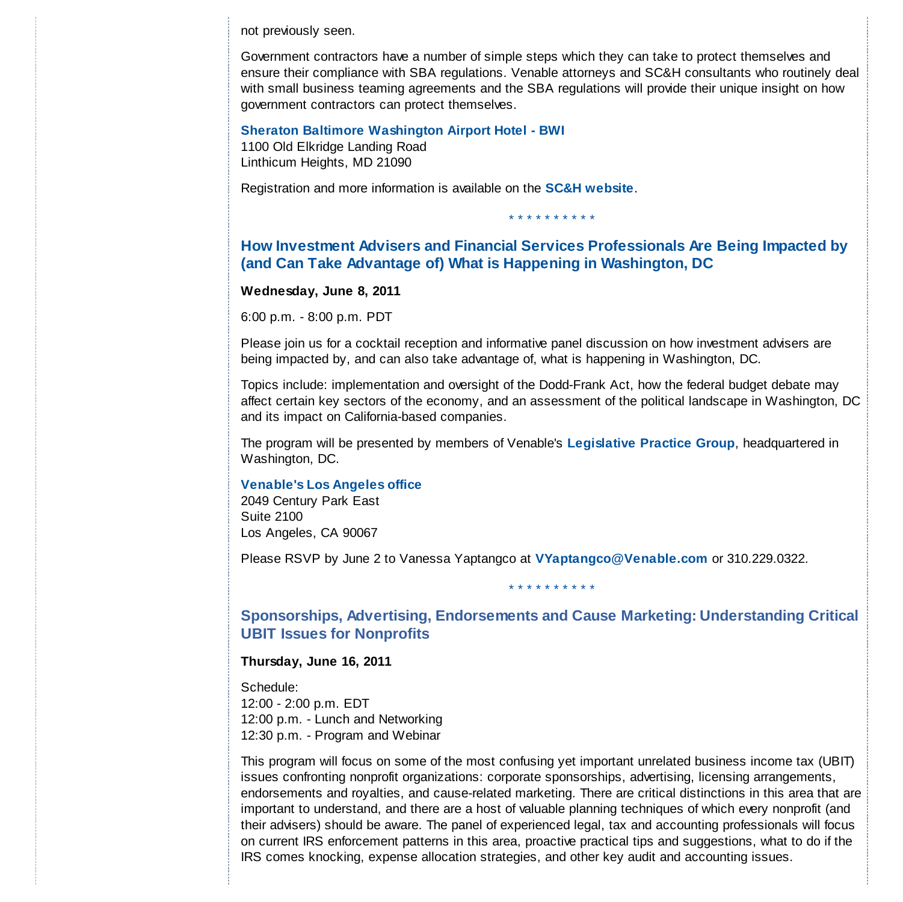not previously seen.

Government contractors have a number of simple steps which they can take to protect themselves and ensure their compliance with SBA regulations. Venable attorneys and SC&H consultants who routinely deal with small business teaming agreements and the SBA regulations will provide their unique insight on how government contractors can protect themselves.

**Sheraton Baltimore Washington Airport Hotel - BWI** 1100 Old Elkridge Landing Road Linthicum Heights, MD 21090

Registration and more information is available on the **[SC&H website](http://www.scandh.com/events/seminars/Venable.asp)**.

#### **[How Investment Advisers and Financial Services Professionals Are Being Impacted by](http://www.venable.com/How-Investment-Advisers-and-Financial-Services-Professionals-are-Being-Impacted-by-and-Can-Take-Advantage-of-What-is-Happening-in-Washington-DC-06-08-2011) (and Can Take Advantage of) What is Happening in Washington, DC**

\* \* \* \* \* \* \* \* \* \*

#### **Wednesday, June 8, 2011**

6:00 p.m. - 8:00 p.m. PDT

Please join us for a cocktail reception and informative panel discussion on how investment advisers are being impacted by, and can also take advantage of, what is happening in Washington, DC.

Topics include: implementation and oversight of the Dodd-Frank Act, how the federal budget debate may affect certain key sectors of the economy, and an assessment of the political landscape in Washington, DC and its impact on California-based companies.

The program will be presented by members of Venable's **[Legislative Practice Group](http://www.venable.com/Legislative-and-Government-Affairs-Practices)**, headquartered in Washington, DC.

#### **[Venable's Los Angeles office](http://www.venable.com/LA)**

2049 Century Park East Suite 2100 Los Angeles, CA 90067

Please RSVP by June 2 to Vanessa Yaptangco at **VYaptangco@Venable.com** or 310.229.0322.

**[Sponsorships, Advertising, Endorsements and Cause Marketing: Understanding Critical](http://www.venable.com/Sponsorships-Advertising-Endorsements-and-Cause-Marketing-Understanding-Critical-UBIT-Issues-for-Nonprofits-06-16-2011) UBIT Issues for Nonprofits**

\* \* \* \* \* \* \* \* \*

#### **Thursday, June 16, 2011**

Schedule:

12:00 - 2:00 p.m. EDT 12:00 p.m. - Lunch and Networking 12:30 p.m. - Program and Webinar

This program will focus on some of the most confusing yet important unrelated business income tax (UBIT) issues confronting nonprofit organizations: corporate sponsorships, advertising, licensing arrangements, endorsements and royalties, and cause-related marketing. There are critical distinctions in this area that are important to understand, and there are a host of valuable planning techniques of which every nonprofit (and their advisers) should be aware. The panel of experienced legal, tax and accounting professionals will focus on current IRS enforcement patterns in this area, proactive practical tips and suggestions, what to do if the IRS comes knocking, expense allocation strategies, and other key audit and accounting issues.